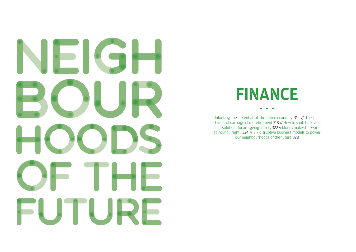# IEIGH Н FUTURE

# FINANCE

Unlocking the potential of the silver economy 312 // The final chimes of carriage clock retirement 318 // How to spot, build and pitch solutions for an ageing society 322 // Money makes the world go round...right? 324 // Six disruptive business models to power our neighbourhoods of the future 328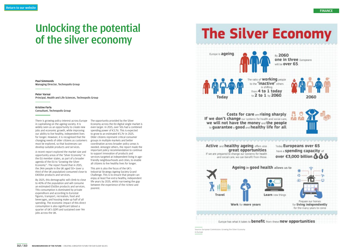# Unlocking the potential of the silver economy

Paul Simmonds Managing Director, Technopolis Group

Peter Varnai Principal, Health and Life Sciences, Technopolis Group

Kristine Farla Consultant, Technopolis Group

There is growing policy interest across Europe in capitalising on the ageing society. It is widely seen as an opportunity to create new jobs and economic growth, while improving our ability to live healthy, independent lives for longer. However, it is recognised that the changing needs of older citizens as customers must be explored, so that businesses can develop suitable products and services.

A recent report explored the market size and opportunity areas of the `Silver Economy'1 in the EU member states, as part of a broader agenda of the EU to 'Growing the Silver Economy'2 . The report found that in 2015, the 24m people in the UK aged 50+ (over a third of the UK population) consumed close to £400bn products and services.

By 2025, this demographic will climb to close to 40% of the population and will consume an estimated £565bn products and services. This consumption is dominated by private expenditure and according to Eurostat figures, transport, recreation, food and beverages, and housing make up half of all spending. The economic impact of this direct consumption is also significant (about a quarter of UK's GDP) and sustained over 9m jobs across the UK.

The opportunity provided by the Silver Economy across the EU digital single market is even larger. In 2015, over 50s had a combined spending power of  $E3.7$ tr. This is expected to grow to an estimated  $\epsilon$ 5.7tr in 2025. Older citizens represent critical consumer groups in multiple markets and better coordination across broader policy areas is needed. Amongst others, the report made the important policy recommendation to continue to support innovation of products and services targeted at independent living in agefriendly neighbourhoods and cities, to enable all citizens to live healthy lives for longer.

This aim is also the focus of the UK's Industrial Strategy Ageing Society Grand Challenge. This is to ensure that people can enjoy at least five extra healthy, independent life years by 2035, whilst narrowing the gap between the experience of the richest and poorest.





Source: European Commission: Growing the Silver Economy in Europe

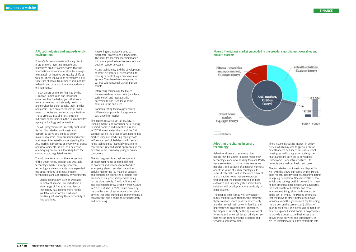# Adopting the change in smart technology

Behavioural research suggests older people may be slower to adopt major new technologies and new housing formats. Partly because we tend to move home less as we get older, and because of a general wariness about the value of such technologies. It seems likely that it will be the more discreet and attractive items that are embraced first and that the implementation of more extensive and fully-integrated smart-home solutions will be adopted more gradually by older citizens.

The change agents may well be younger family members and friends, who embrace these solutions more quickly and excitedly and then reveal their power in familiar and unpressurised environments. Therefore, the emphasis is firmly on the application of inclusive and universal design principles, so that we can continue to use products and services as we grow older.

There is also increasing interest in policy circles, which may well trigger a push for new standards and specifications in social housing, as well as a greater push by the health and care services to developing frameworks  $-$  and infrastructure  $-$  to promote personalised health and care.

The AAL programme has recently published<sup>4</sup> its first `AAL Market and Investment Report', to serve as a guide to policy makers, investors, entrepreneurs and other businesses interested in understanding the AAL market. It presents an overview of trends and developments, as well as a selection of emerging products, addressing both the consumer and regulated markets.

> The AAL Market and Investment Report fits well with the views expressed by the IMechE in its report, 'Healthy Homes: Accommodating an Ageing Population' (January 2018)<sup>6</sup>. It too anticipates some growth in demand for smart homes amongst older people and advocates the dual benefit of healthier and more independent living, along with a reduction in the cost of living. The IMechE estimates that the move to smart homes could save individuals and the government (by lessening the burden on the care system) billions of pounds each year. The increasing demand for new or upgraded smart homes also promises to provide a boost to the businesses that deliver these services and components, as well as injecting a little extra dynamism into

### AAL technologies and anage-friendly environment

Europe's Active and Assisted Living (AAL) programme is investing in numerous innovative products and services that use information and communication technology to maintain or improve our quality of life as we age. These innovations encompass a full spectrum of areas, from leisure and mobility, to health and care, and the home and work environments.3

The AAL programme, co-financed by the European Commission and individual countries, has funded projects that work towards creating market-ready products and services for older people, their families and carers. Each project consists of SMEs, research bodies and end-user organisations. These projects also aim to strengthen industrial opportunities in the field of healthy ageing technology and innovation.

The AAL market exists at the intersection of the smart home, eHealth and wearable technology market. A range of recent technological developments have expanded the opportunities to integrate these technologies and age-friendly environments:

· Sensor technology, such as wearable or ambient sensors, are included in a wide range of AAL solutions. Sensor technology has become more readily available and affordable, which is positively influencing the affordability of AAL solutions.

- · Reasoning technology is used to aggregate, process and analyse data. This includes machine learning models that are applied to telecare solutions and decision support systems.
- · Acting technology, and the development of smart actuators, are responsible for moving or controlling a mechanism or system. They have been integrated in various solutions, such as companion robots.
- · Interacting technology facilitates human-machine interactions (interface technology) and leverages the accessibility and usefulness of the solution to the end-user.
- · Communicating technology enables different components of a system to exchange information.

The market research portal, Statista, is tracking market and consumer data relating to smart homes,<sup>5</sup> and published a report in 2017 that estimated the size of the AAL segment within the broader EU smart homes market. They are predicting rapid growth in European and global demand for smart home technologies (especially relating to control, security and smart appliances) in the next five years, driven by younger private consumers.

The AAL segment is a small component of total smart home demand, defined as products and services for networked emergency alarms, accident detection, activity monitoring (by means of sensors) and comparable connected products that are aimed to support independent living for the older people. The EU AAL market is also projected to grow strongly, from  $£186m$ in 2017, to  $E1.4$ bn in 2021. This is driven by the proliferation of easy-to-use, affordable devices that offer immediate improvements in convenience, and a sense of personal safety and well-being.

Source: Statista 2017

# Figure 1 The EU AAL market embedded in the broader smart homes, wearables and

# eHealth markets

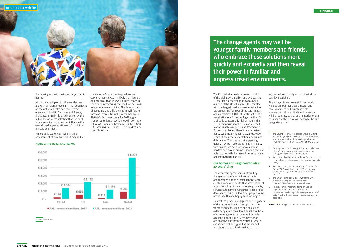The EU market already represents a fifth of the global AAL market, and by 2021, the EU market is expected to grow to over a quarter of the global market. The country with the largest market share remains the US, accounting for 60% of the total in 2017 and an estimated 40% of total in 2021. The penetration of AAL technologies in the US is already substantially higher than in the EU. In comparison to the US market, the EU market is heterogeneous and fragmented. EU countries have different health systems, policy systems and legal rules, and a wider range of consumer expectation and cultural differences. This means that expanding quickly may be more challenging in the EU, with businesses needing to work across borders and evolve business models that are able to cope with the many different private and institutional markets.

# Our homes and neighbourhoods in 20 years' time

The economic opportunities offered by the ageing population is incontestable, and together with the social imperative to create a cohesive society that provides equal access for all its citizens, innovate products, services and home environments need to be developed. This will allow older people to live active, healthy and happy lives for longer.

To start the process, designers and engineers of the future will need to adopt principles where the needs, abilities and desires of older people are considered equally to those of younger generations. This will provide a blueprint for living environments that are adaptive and intergenerational, where connected technology will be embedded in objects that provide intuitive, safe and

enjoyable links to daily social, physical, and cognitive activities.

the end-user's incentive to purchase AAL services themselves. It is likely that insurers and health authorities would invest more in the future, recognising the need to encourage longer independent living. The demonstration of economic and efficiency gains will further increase interest from this consumer group. Statista's AAL projections for 2021 suggest that Europe's larger economies will dominate future AAL markets: Germany  $-$  31% ( $\varepsilon$ 58m); UK – 21% (€40m); France – 13% (€24m); and Italy,  $6\%$  ( $\epsilon$ 11m).

Financing of these new neighbourhoods will pay off, both for public (health and care) procurers and private investors. However, a shift in attitude and behaviour will be required, so that segmentation of the consumer of the future will no longer be age categories alone.

- 1 The Silver Economy. Technopolis Group & Oxford Economics (2018) Available at: https://publications. europa.eu/en/publication-detail/-/publication/ a9efa929-3ec7-11e8-b5fe-01aa75ed71a1/languageen
- 2 Growing the Silver Economy in Europe. Available at: https://ec.europa.eu/digital-single-market/en/ news/growing-silver-economy-europe
- 3 Ambient Assisted Living Association funded projects are available at: http://www.aal-europe.eu/projectsmain/
- 4 AAL Market and Investment Report. Technopolis Group (2018) Available at: https://aal.challenges. org/2018/06/21/aal-market-and-investmentsreport/
- 5 The Smart Home global market. Statista (2017) Available at: http://www.statista.com/ outlook/279/100/smart-home/worldwide
- 6 Healthy Homes: Accommodating an Ageing Population. IMechE (2018) Available at: http://www.imeche.org/policy-and-press/reports/ detail/healthy-homes-accommodating-an-ageingpopulation

Photo credit: Image courtesy of Technopolis Group

the housing market, freeing up larger, family homes.

AAL is being adopted to different degrees and with different models in mind, dependent on the national health and care system. For example, in the UK, Germany and France, the telecare market is largely driven by the public sector, demonstrating that the public procurement approaches can influence the overall market penetration of AAL solutions in many countries.

While public sector can kick-start the procurement of new services, it may reduce

Source: Statista 2017

# Figure 2 The global AAL market



The change agents may well be younger family members and friends, who embrace these solutions more quickly and excitedly and then reveal their power in familiar and unpressurised environments.

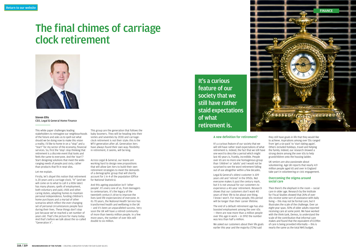

Steven Ellis CEO, Legal & General Home Finance

This white paper challenges leading stakeholders to reimagine our neighbourhoods of the future and asks us to spell out what should we be doing now to make this vision a reality. I'd like to home in on a "stop" and a ªstartº for my sector of the economy; financial services. So, first the 'stop': stop thinking that retirement is a discrete event that looks and feels the same to everyone. And the 'start'? Start designing solutions that meet the wideranging needs of people post sixty, rather than products that fit in neat silos.

### Let me explain.

Firstly, let's dispel this notion that retirement is 20 years and a carriage clock. "It" (and we will come on to what to call it a little later) has many phases; spells of employment, both voluntary and paid, child and other caring duties, adapting homes to maintain personal independence, funding children's home purchases and a myriad of other scenarios which reflect the ever-changing set of personal circumstances people face during their lives. These things don't stop just because we've reached a set number of years old. That's the picture for many today. And that's before we talk about the so-called ªGeneration Xº.

This group are the generation that follows the baby boomers. They will be heading into their sixties and seventies by 2030 and carriageclock retirement is not their style: this is the MTV generation after all. Generation Xers have always found their own way: flexibility in retirement, it seems, will be king.

Across Legal & General, our teams are working hard to design new propositions that will allow Gen Xers to build their own retirement strategies to meet the demands of a demographic group that will shortly account for 1 in 4 of the population (Office for National Statistics).

And this ageing population isn't `other people'. It's every one of us, from teenagers to centenarians. It's the legacy of the twentieth century's drive to improve the lives (and life expectancies) of everyone. In its 70 years, the National Health Service has transformed health and wellbeing in the UK  $-$  and it's been an unparalleled success. Very soon the UK will have a retired community of more than twenty million people. In a few more years, the number of over 80s will double to six million.

Then there's the elephant in the room  $-$  social care in older age. Research by the Institute for Fiscal Studies showed that 26% of over 65s receive some sort of assistance with daily living  $-$  this may not be formal care, but it illustrates the scale of the challenge. Over an eight-year span, 50% of older adults reported receiving care at some point. We have worked with the think tank. Demos, to understand the scale of the contribution that informal care makes and found that the equivalent of £139bn of care is being provided informally  $-$  this is nearly the same as the total NHS budget.

# A new definition for retirement?

It's a curious feature of our society that we will still have rather staid expectations of what retirement is. Indeed, the fact that we still have one word to describe a period which might last 40 years is, frankly, incredible. People over 65 are no more one homogenous group than `children' or `adults' and I would not be surprised to see the word retirement falling out of use altogether within a few decades.

Legal & General's oldest customer is 109 years old and 'retired' in the 1950s. Not everyone makes it past the century mark, but it is not unusual for our customers to experience a 40-year retirement. Research shows that our customers don't want 40 years of their life to be about one thing. I know I won't. For many people, this period will be longer than their career lifetime.

The end of a default retirement age has also boosted employment among the over 65s  $-$  there are now more than a million people over this age in work  $-$  in 1992 the number was less than half a million.

We asked our customers about their life goals earlier this year and the majority (72%) said

they still have goals in life that they would like to achieve. Aspirations among over 55s ranged from 'get a six-pack' to 'start dating again'. Others included holidays, travel and helping the family. Indeed, our research showed a strong desire among the over 65s to help grandchildren onto the housing ladder.

UK seniors are also passionate about volunteering. Age UK reports that nearly 4.9 million people aged 65 and over in England take part in volunteering or civic engagement.

# Overcoming the stigma around social care

# The final chimes of carriage clock retirement

# It's a curious feature of our society that we still have rather staid expectations of what retirement is.

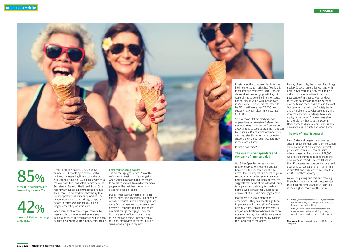

borrowing, the economy benefits by  $E3$ across the country that's a boost to gross UK output of £7bn last year alone. Our bank of Mum and Dad (BoMad) research suggests that some of the released equity

is helping sons and daughters to buy homes. We estimate that BoMad is the equivalent of a £5.7bn mortgage lender<sup>1</sup>. Mortgages are about more than  $e$ conomics  $-$  they can enable significant improvements in the quality of a person

or family's life. Through improvements and/or modifications to homes which are not age-friendly, older adults are able to maintain their independence by living in their own homes for longer.

By way of example, the London Rebuilding Society (a social enterprise working with Legal & General) asked my team to help a client of theirs who lives in Leyton, East London<sup>2</sup>. His house was run down; there was no upstairs running water or electricity and there was a hole in the roof. Our team worked with the Society team and their client to develop a solution. This involved a lifetime mortgage to release equity in the home. The team was able to refurbish the house to the Decent Homes Standard and our customer is now enjoying living in a safe and warm home.

# The role of legal & general

Legal & General began life in a coffee shop in 1830s London, after a conversation among a group of six lawyers. Our first policy holder was Mr Thomas Smith, who was assured for the sum of £1,000. We are still committed to supporting the development of 'inclusive capitalism' in the UK, because we have both a social and economic purpose. Long-term thinking is in our DNA and it is clear to my team that 2030 is not that far away.

We will be playing our part and creating financial solutions that help people enjoy their best retirement and play their role in the neighbourhoods of the future.

# Let's talk housing equity

The over 55 age group own 85% of the UK's housing wealth. That's staggering when you think about it. But the means to access this wealth from what, for many people, will be their best performing asset have been inflexible.

But over the last five years or so, a lot has changed. The latest iteration of equity release products, lifetime mortgages, are more flexible than ever. Consumers can borrow a lump sum against their house as a first charge mortgage. They can borrow a series of lump sums or even take a regular income. They can repay the loan, often without charge, in lump sums, or as a regular payment.

If rates hold at 2010 levels, by 2030 the number of UK people aged over 65 with a limiting, long-standing illness could rise by 44%, from 4.2 million to 6 million (evidence to the Work and Pensions Select Committee).The Secretary of State for Health and Social Care recently announced a £240m boost for adult social care  $-$  more evidence that the system is under pressure as winter approaches. The government is due to publish a green paper before Christmas which should outline a longer-term policy for social care.

When you add all of that up, you come to two inescapable conclusions: Retirement isn't going to be short. Furthermore, it isn't going to be cheap. So where will the money come from?

85% of the UK's housing wealth

is owned by the over 55s.

42% growth of lifetime mortgage value in 2017.

# FINANCE



<sup>1</sup> https://www.legalandgeneral.com/retirement/ retirement-news/2018/the-generosity-of-thebank-of-mum-and-dad.html

<sup>2</sup> http://www.impactinvestmentnetwork.com/ membernews/london-rebuilding-societycompletes-east-london-home-refurbishment-2/

Photo credit: Images courtesy of Legal & General Group PLC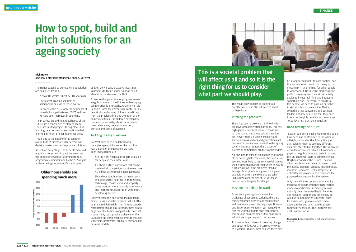## Nick Howe

Regional Enterprise Manager, London, NatWest

The trends caused by our evolving population are being felt by us all.

- · 70% of UK wealth is held by 50+ year olds.
- The fastest growing segment of smartphone sales is to those over 60.
- Between 2007-2016, only the segments of households aged between 65-75 and over 75 have seen increases in spending.

The progress around Neighbourhoods of the Future has been viewed as slow by many. There are limited projects taking place, but learnings are not always easy to find to help inform a different project in another area.

This is due to the need to bring together a multitude of different skills, sectors and decision-makers to start to provide solutions.

At such an early stage, the benefits achieved might not necessarily impact the area that the budget or resource is coming from. A programme commissioned by the NHS might achieve savings in a council's social care

# Older households are spending much more



budget. Conversely, proactive investment in projects to tackle social isolation could alleviative the strain on the NHS.

To ensure the grand sum of progress across Neighbourhoods of the Future, wide-ranging collaboration is a necessity. Channel 4's `Old People's Home for 4 Year Olds' captures this beautifully, with young children benefitting from the precious time and attention of the home's residents. The children develop key communication skills, whilst the residents themselves enjoy greater interaction, exercise and sense of purpose.

# Tackling the big questions

NatWest have been a collaborator in the Agile Ageing Alliance for the past four years. Some of the questions we have been investigating are:

> As we see a growing awareness of the challenges of our ageing societies, there are some encouraging early stage collaboration and small-scale projects taking shape. However, on a larger scale, we haven't yet managed to turn these problems into physical products, services and business models that consumers will validate by parting with their money.

- · Are the right financial products available for people in their later lives?
- · Are there further innovations that can be made to build companionship, given we have 4.9 million active mobile bank app users?
- Should our specialist sector teams, such as public sector, healthcare, third sector, technology, construction and property come together more formally to influence and learn from collaboration within this developing sector?

Our involvement is due to two main reasons. Firstly, this is a societal problem that will affect us all and so it is the right thing for us to consider what part we should play. Secondly, there exists a huge potential business opportunity. One that, if done right, could provide a chance for the UK to lead the world when it comes to thought leadership, prototypes, products, services and business models.



This would allow exports to countries all over the world, who also will need to adapt to these issues.

# Pitching the products

There has been a growing trend to divide ourselves into generational groups. This has highlighted discontent between those said to have gained and those said to have lost out. Nevertheless, dividing products and services across sectors and generations not only restricts advances relevant to the ageing society, but also reduces the chances of success of commercial products and services.

No-one likes to think of themselves as growing old or needing help. Therefore, the products or services most likely to see commercial success will be those that market themselves as having a great solution to the problems faced at any age. Smartphone sale growth is a great example where simple solutions are taken up by those over the age of 60. Yet these products are designed for all ages.

# Pushing the debate forward

To those with an interest in creating change and opportunities, we are currently viewed as a vitamin. That is, most can see there may

be a long-term benefit to participation, and that someone will profit from doing so, but most think it is something for other people to worry about. Despite the marketing and publicity we may see, they will very likely decide to invest their time and budget in something else. Therefore, to progress this debate, we need to position ourselves to stakeholders as a medicine. That is, something that consumers and business leaders not only desire but that they need to see the tangible benefits for themselves. To achieve this, traction is required.

# Road-testing the future

Traction can only be achieved once the public have seen and contributed to the vision of a Neighbourhood of the Future. It is just as crucial for them to see how different elements start to knit together. This is why we need demonstrators, which will comprise of physical neighbourhoods to be built around the UK. These will start to bring to life our Neighbourhoods of the Future. They will allow people with all levels of interest, be it the public, planners, schools, health groups, investors, landlords, tech entrepreneurs, or healthcare providers, to experience the proposed innovations for themselves.

Only then will they see why a community might want to part with their hard-earned money to participate. Achieving this will not only mean improved health benefits and reduced isolation and loneliness, but will also help to deliver successful sales for businesses, generate employment opportunities and contribute to greater community cohesion. This improves the quality of life for all.

# How to spot, build and pitch solutions for an ageing society

# This is a societal problem that will affect us all and so it is the right thing for us to consider what part we should play.

FINANCE

Photo credit: Image courtesy of National Westminster Bank Plc.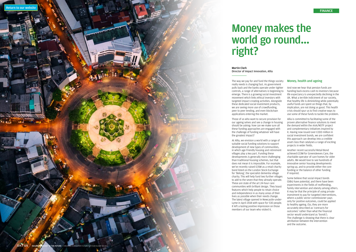# Money makes the world go round... right?

## Martin Clark Director of Impact Innovation, Allia

The way we pay for and fund the things society really needs is changing fast. As government pulls back and the banks operate under tighter controls, a range of alternatives is beginning to emerge. There is a growing social investment movement which links ethical investors with targeted impact-creating activities. Alongside these dedicated social investment products, we are seeing more use of crowdfunding, peer to peer lending, and even blockchain applications entering the market.

Those of us who want to secure provision for our ageing selves and see a change in housing should be asking: how can we make sure all these funding approaches are engaged with the challenge of funding whatever will have the greatest impact?

At Allia, we envision a world with a range of suitable social funding solutions to support development of new types of communities, in which age-friendly housing and retirement villages play a key part. Funding these developments is generally more challenging than traditional housing schemes, but that does not mean it is impossible. For example, we've recently raised £35M as a retail charity bond listed on the London Stock Exchange for 'Belong', the specialist dementia village charity. This will help fund two further villages to add to the seven that they already operate. These are state of the art 24-hour care communities with brilliant design. They boast features which help people to retain choice and independence in as many areas of their lives as possible when their needs change. The latest village opened in Newcastle-under-Lyme in April 2018 with space for 530 people. It left a lasting positive impression on those members of our team who visited it.

# Money, health and ageing

And now we hear that pension funds are handing back excess cash to investors because life expectancy is unexpectedly declining in the UK. What a terrible indictment of our society, that healthy life is diminishing while potentially useful funds are spent on things that, by implication, are not doing us good. This health crisis should spur us to find creative ways to use some of these funds to tackle the problem.

Allia is committed to facilitating some of the proven alternative finance solutions to meet the demand within the AAA/NOTF project and complementary initiatives inspired by it. Having now issued over £300 million in social investment bonds, we are confident this approach can develop into a credible asset class that catalyses a range of exciting projects in wider fields.

Another recent successful Retail Bond achieved £33M for Greensleeves Care, the charitable operator of care homes for older adults. We would love to see hundreds of innovative senior housing developments spring up, and to provide either the core funding or the balance of other funding if required.

Some believe that social impact bonds (SIBs) have potential, and there have been experiments in the fields of reoffending, family intervention and obesity among others. It may be that the principle of using private investment to pay for targeted interventions, where a public sector commissioner pays only for positive outcomes, could be applied to healthy ageing. (So, they are more accurately described as 'contracts for outcomes' rather than what the financial sector would understand as 'bonds'). The challenge is showing that there is clear attribution between the intervention and the outcome.



### 324 / 325 NEIGHBO **F THE FUTURE** – CREATING A BRIGHTER FUTURE FOR OUR OLDER SELVES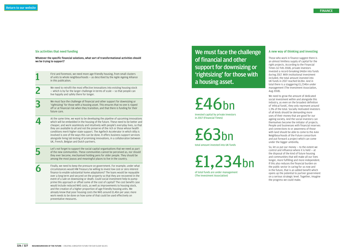# Six activities that need funding

Whatever the specific financial solutions, what sort of transformational activities should we be trying to support?

First and foremost, we need more age-friendly housing, from small clusters of units to whole neighbourhoods  $-$  as described by the Agile Ageing Alliance in this publication.

We need to retrofit the most effective innovations into existing housing stock<br>
– which is by far the larger challenge in terms of scale – so that people can<br>
live happily and safely there for longer.  $-$  which is by far the larger challenge in terms of scale  $-$  so that people can live happily and safely there for longer.

**3** We must face the challenge of financial and other support for downsizing or 'rightsizing' for those with a housing asset. This ensures that no one is ripped `rightsizing' for those with a housing asset. This ensures that no one is ripped off or at financial risk when they transition, and that there is funding for their future care.

At the same time, we want to be developing the pipeline of upcoming innovations which will be embedded in the housing of the future. These need to be better and cheaper, and work seamlessly and intuitively with people's everyday lives, so that they are available to all and not the preserve of the rich or those whose health conditions merit higher state support. The AgeTech Accelerator in which Allia is involved is one of the ways this can be done. It offers business support services alongside living lab testing of promising innovations, in a collaboration between UK, French, Belgian and Dutch partners.

Let's not forget to support the social capital organisations that we need as part<br>of the new communities. These communities cannot be perceived as, nor should of the new communities. These communities cannot be perceived as, nor should they ever become, mechanised holding pens for older people. They should be among the most joyous and meaningful places to live in the country.

Finally, we need to keep the pressure on government. For example, under what circumstances would HM Treasury be willing to invest low cost or zero interest finance to enable substantial home adaptations? The loans would be circumstances would HM Treasury be willing to invest low cost or zero interest over a long term and secured on the property so that they are recovered in the event of a sale on downsizing or death. Could social investment help to pumpprime this approach or offset some of the cost of capital? The cost benefit case would include reduced NHS costs, as well as improvements to housing stock, and the creation of a higher proportion of age-friendly housing units. We already know that poor housing costs the NHS around £1.4bn per year; more work needs to be done on how some of that could be used effectively on preventative measures.

So, let us put our money  $-$  to the extent we control and influence where it is held  $-$  at the disposal of the kind of future housing and communities that will make all our lives longer, more fulfilling and more independent. If this also reduces the financial burden on the public sector in caring for us now and in the future, that is an added benefit which opens up the potential to partner government on a serious strategic level. Together, imagine the progress we could make.

# A new way of thinking and investing

Those who work in finance suggest there is an almost limitless supply of capital for the right projects. According to the Financial Times (12 Feb 2018), private investors invested a record-breaking £46bn into funds during 2017. With institutional investment included, the total amount invested into UK funds in 2017 reached £63bn. And in total there is a staggering £1,234bn under management (The Investment Association, Aug 2018).

We need to grow the amount of dedicated social investment within and alongside this industry, as even on the broadest definition of 'ethical funds', they only represent around 1.3% of the total. Socially motivated investors of all kinds should be demanding more uses of their money that are good for our ageing society. And the social investors can themselves become the initiator of projects. People and businesses with financial reserves and connections to or awareness of those with land should be able to come to the AAA Neighbourhoods of the Future consortium and put forward a project which can come under the bigger umbrella.

We must face the challenge of financial and other support for downsizing or `rightsizing' for those with a housing asset.

£46bn invested capital by private investors in 2017 (Financial Times)

£63bn total amount invested into UK funds

£1,234bn of total funds are under management (The Investment Association)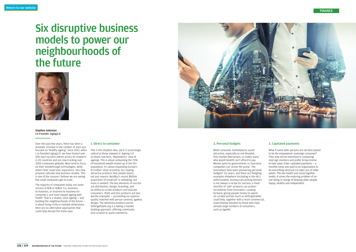

Stephen Johnston Co-Founder, Aging2.0

Over the past few years, there has been a dramatic increase in the number of start-ups focused on 'healthy ageing'. Since 2012, when I co-founded Aging2.0<sup>i</sup>, we have hosted over 500 start-up pitch events across 65 chaptersii in 20 countries and are now tracking over 3000 companies globally. Most tend to focus on their breakthrough technologies, while others their novel user experience. Very few propose radically new business models. This is one of the reasons I believe we are seeing few small companies get to scale.

The majority of companies today use some version of B2B or B2B2C (i.e. businessto-business, or business-to-business-toconsumer.), and most equate ageing with health. That is a shame, since ageing  $-$  and building the neighbourhoods of the future  $$ is about living richly in multiple dimensions. Here are six alternative approaches that could help disrupt the status quo:

While consumer marketplaces sound attractive, especially to red-blooded, free-market libertarians, in reality many who would benefit can't afford to pay. Money spent by governments or insurance companies can `prime the pump'. The Australians have been pioneering personal budgets<sup>iv</sup> for years, and there are fledgling examples elsewhere (including in the UK.). Unfortunately, bureaucrats picking winners is not always a recipe for success; a fixed shortlist of 'safe' products can protect incumbents from innovators. Looking forward, giving people money to spend on curated portals (such as Unforgettable) could help, together with a more commercial, experimental mindset by those who have already large numbers of consumers, such as AgeUK<sup>v</sup>.

### 1. Direct to consumer

This is the simplest idea, yet it is surprisingly radical to those steeped in `Ageing 1.0' (a siloed, low-tech, `dependency' view of ageing). This is about unleashing the 70% of household wealth locked up in the 50+ population. It's about expanding Europe's  $\epsilon$ 3 trillion 'silver economy' by creating attractive products that people desire, not just require. BestBuy's recent \$800m acquisition of GreatCall<sup>iii</sup> is validating, but more is needed. The key elements of success are distribution, design, branding, and an ability to curate products and educate consumers. iPads and Oxo products are two worthy examples  $-$  succeeding via superior quality matched with person-centred, ageless design. The dementia products portal Unforgettable.org is a taking a marketbuilding approach, offering community and curation to spark commerce.



# Six disruptive business models to power our neighbourhoods of the future

# 2. Personal budgets

# 3. Capitated payments

What if some older persons are not best placed to be the empowered, sovereign consumer? They may not be interested in comparing vital sign monitors and prefer Krispy Kreme to kale salad. Enter capitated payments  $-$  a monthly lump sum paid to an organisation to do everything necessary to take care of older adults. This ties health and social together neatly. It solves the enduring problem of noone being in charge of keeping older people happy, healthy and independent.

# FINANCE